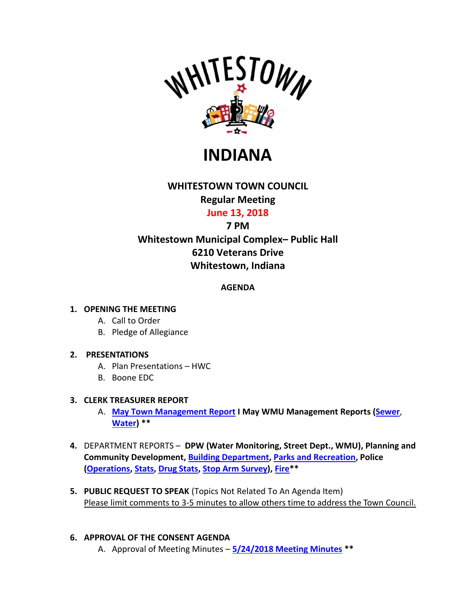

**INDIANA**

# **WHITESTOWN TOWN COUNCIL**

# **Regular Meeting**

## **June 13, 2018**

## **7 PM**

# **Whitestown Municipal Complex– Public Hall 6210 Veterans Drive Whitestown, Indiana**

## **AGENDA**

## **1. OPENING THE MEETING**

- A. Call to Order
- B. Pledge of Allegiance

## **2. PRESENTATIONS**

- A. Plan Presentations HWC
- B. Boone EDC

### **3. CLERK TREASURER REPORT**

- A. **May [Town Management Report](http://whitestown.in.gov/vertical/sites/%7BB8BE8AC3-9DE8-4247-BCB0-1173F48CC7C3%7D/uploads/05-2018_Mgmt_Report.pdf) I May WMU Management Reports [\(Sewer](http://whitestown.in.gov/vertical/sites/%7BB8BE8AC3-9DE8-4247-BCB0-1173F48CC7C3%7D/uploads/WMU_Management_Report_-_May_(Sewer)(1).pdf)**, **[Water\)](http://whitestown.in.gov/vertical/sites/%7BB8BE8AC3-9DE8-4247-BCB0-1173F48CC7C3%7D/uploads/WMU_Management_Report_-_May_(Water)(1).pdf) \*\***
- **4.** DEPARTMENT REPORTS **DPW (Water Monitoring, Street Dept., WMU), Planning and Community Development, [Building Department,](http://whitestown.in.gov/vertical/sites/%7BB8BE8AC3-9DE8-4247-BCB0-1173F48CC7C3%7D/uploads/Building_Department_Report.pdf) [Parks and Recreation,](http://whitestown.in.gov/vertical/sites/%7BB8BE8AC3-9DE8-4247-BCB0-1173F48CC7C3%7D/uploads/Parks_and_Recreation_Report.pdf) Police [\(Operations,](http://whitestown.in.gov/vertical/sites/%7BB8BE8AC3-9DE8-4247-BCB0-1173F48CC7C3%7D/uploads/WPD_-_TC_Rpt_6.2018.pdf) [Stats,](http://whitestown.in.gov/vertical/sites/%7BB8BE8AC3-9DE8-4247-BCB0-1173F48CC7C3%7D/uploads/ReCvd_-_(WMPD_Statical_Data)(1).pdf) [Drug Stats,](http://whitestown.in.gov/vertical/sites/%7BB8BE8AC3-9DE8-4247-BCB0-1173F48CC7C3%7D/uploads/ReCvd_-_(wmpd_drug_statics)(1).pdf) [Stop Arm Survey\)](http://whitestown.in.gov/vertical/sites/%7BB8BE8AC3-9DE8-4247-BCB0-1173F48CC7C3%7D/uploads/2018_Annual_Stop_Arm_Survey_(1).pdf), [Fire\\*](http://whitestown.in.gov/vertical/sites/%7BB8BE8AC3-9DE8-4247-BCB0-1173F48CC7C3%7D/uploads/WFD_Monthly_Report_-_WTC_JUN18_Mtg.pdf)\***
- **5. PUBLIC REQUEST TO SPEAK** (Topics Not Related To An Agenda Item) Please limit comments to 3-5 minutes to allow others time to address the Town Council.

## **6. APPROVAL OF THE CONSENT AGENDA**

A. Approval of Meeting Minutes – **5/24/2018 [Meeting Minutes](http://whitestown.in.gov/vertical/sites/%7BB8BE8AC3-9DE8-4247-BCB0-1173F48CC7C3%7D/uploads/5-24-2018_Town_Council_Meeting_Minutes.pdf) \*\***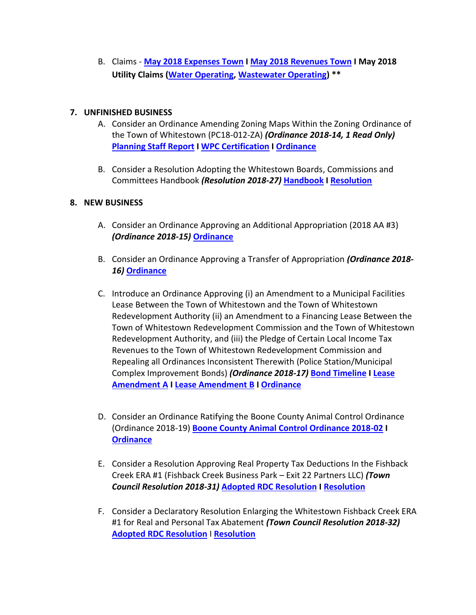B. Claims - **May 2018 [Expenses Town](http://whitestown.in.gov/vertical/sites/%7BB8BE8AC3-9DE8-4247-BCB0-1173F48CC7C3%7D/uploads/May_2018_Expenses_Town.pdf) I May 2018 [Revenues Town](http://whitestown.in.gov/vertical/sites/%7BB8BE8AC3-9DE8-4247-BCB0-1173F48CC7C3%7D/uploads/May_2018_Revenues_Town.pdf) I May 2018 Utility Claims [\(Water Operating,](http://whitestown.in.gov/vertical/sites/%7BB8BE8AC3-9DE8-4247-BCB0-1173F48CC7C3%7D/uploads/Water_Operating_Claims_Docket_06.13.18.pdf) [Wastewater Operating\)](http://whitestown.in.gov/vertical/sites/%7BB8BE8AC3-9DE8-4247-BCB0-1173F48CC7C3%7D/uploads/Sewer_Operating_Claims_Docket_06.13.18.pdf) \*\***

#### **7. UNFINISHED BUSINESS**

- A. Consider an Ordinance Amending Zoning Maps Within the Zoning Ordinance of the Town of Whitestown (PC18-012-ZA) *(Ordinance 2018-14, 1 Read Only)* **[Planning Staff Report](http://whitestown.in.gov/vertical/sites/%7BB8BE8AC3-9DE8-4247-BCB0-1173F48CC7C3%7D/uploads/Staff_Report_PC18-012-ZA__(MI_Zone_Map_Amendment_Request).pdf) [I WPC Certification](http://whitestown.in.gov/vertical/sites/%7BB8BE8AC3-9DE8-4247-BCB0-1173F48CC7C3%7D/uploads/PC_Certification_Letter__PC18-012-ZA.pdf) I [Ordinance](http://whitestown.in.gov/vertical/sites/%7BB8BE8AC3-9DE8-4247-BCB0-1173F48CC7C3%7D/uploads/Whitestown_Council_Ordinance_2018-14_Zone_Map_Amendment_for_PC18-012-ZA_(MI_Homes).pdf)**
- B. Consider a Resolution Adopting the Whitestown Boards, Commissions and Committees Handbook *(Resolution 2018-27)* **[Handbook](http://whitestown.in.gov/vertical/sites/%7BB8BE8AC3-9DE8-4247-BCB0-1173F48CC7C3%7D/uploads/Whitestown_Boards-Commissions_and_Committee_Handbook.pdf) I [Resolution](http://whitestown.in.gov/vertical/sites/%7BB8BE8AC3-9DE8-4247-BCB0-1173F48CC7C3%7D/uploads/Whitestown_Town_Council_Resolution_2018-27_Adopting_the_Boards_Commissions_and_Committee_Handbook.pdf)**

#### **8. NEW BUSINESS**

- A. Consider an Ordinance Approving an Additional Appropriation (2018 AA #3) *(Ordinance 2018-15)* **[Ordinance](http://whitestown.in.gov/vertical/sites/%7BB8BE8AC3-9DE8-4247-BCB0-1173F48CC7C3%7D/uploads/Whitestown_Ordinance_2018-15_(A.A._3).pdf)**
- B. Consider an Ordinance Approving a Transfer of Appropriation *(Ordinance 2018- 16)* **[Ordinance](http://whitestown.in.gov/vertical/sites/%7BB8BE8AC3-9DE8-4247-BCB0-1173F48CC7C3%7D/uploads/Whitestown_Ordinance_2018-16_(Transfer_of_Appropriation_Ordinance_1).pdf)**
- C. Introduce an Ordinance Approving (i) an Amendment to a Municipal Facilities Lease Between the Town of Whitestown and the Town of Whitestown Redevelopment Authority (ii) an Amendment to a Financing Lease Between the Town of Whitestown Redevelopment Commission and the Town of Whitestown Redevelopment Authority, and (iii) the Pledge of Certain Local Income Tax Revenues to the Town of Whitestown Redevelopment Commission and Repealing all Ordinances Inconsistent Therewith (Police Station/Municipal Complex Improvement Bonds) *(Ordinance 2018-17)* **[Bond Timeline](http://whitestown.in.gov/vertical/sites/%7BB8BE8AC3-9DE8-4247-BCB0-1173F48CC7C3%7D/uploads/Whitestown_2017_Police_Station_Bonds_-_timetable.pdf) I [Lease](http://whitestown.in.gov/vertical/sites/%7BB8BE8AC3-9DE8-4247-BCB0-1173F48CC7C3%7D/uploads/Whitestown_Police_2018_Bonds_-_First_Amendment_to_Base_Lease.pdf)  [Amendment A](http://whitestown.in.gov/vertical/sites/%7BB8BE8AC3-9DE8-4247-BCB0-1173F48CC7C3%7D/uploads/Whitestown_Police_2018_Bonds_-_First_Amendment_to_Base_Lease.pdf) I [Lease Amendment B](http://whitestown.in.gov/vertical/sites/%7BB8BE8AC3-9DE8-4247-BCB0-1173F48CC7C3%7D/uploads/Whitestown_2018_Police_Bonds_-_First_Amendment_to_Lease_(B).pdf) I [Ordinance](http://whitestown.in.gov/vertical/sites/%7BB8BE8AC3-9DE8-4247-BCB0-1173F48CC7C3%7D/uploads/Whitestown_Ordinance_2018-17_Police_Station_Project_-_Approving_amendment_to_leases_and_financing.pdf)**
- D. Consider an Ordinance Ratifying the Boone County Animal Control Ordinance (Ordinance 2018-19) **[Boone County Animal Control Ordinance 2018-02](http://whitestown.in.gov/vertical/sites/%7BB8BE8AC3-9DE8-4247-BCB0-1173F48CC7C3%7D/uploads/2018-02_Animal_Control_Ordinance.pdf) I [Ordinance](http://whitestown.in.gov/vertical/sites/%7BB8BE8AC3-9DE8-4247-BCB0-1173F48CC7C3%7D/uploads/Whitestown_Ordinance_2018-19_(Ratifying_County_Animal_Control_Ordinance).pdf)**
- E. Consider a Resolution Approving Real Property Tax Deductions In the Fishback Creek ERA #1 (Fishback Creek Business Park – Exit 22 Partners LLC) *(Town Council Resolution 2018-31)* **[Adopted RDC Resolution](http://whitestown.in.gov/vertical/sites/%7BB8BE8AC3-9DE8-4247-BCB0-1173F48CC7C3%7D/uploads/RDC_Resolution_2018-17.pdf) I [Resolution](http://whitestown.in.gov/vertical/sites/%7BB8BE8AC3-9DE8-4247-BCB0-1173F48CC7C3%7D/uploads/Whitestown_Town_Council_Resolution_2018-31_Exit_22_Real_Property_Tax_Deductions_Application.pdf)**
- F. Consider a Declaratory Resolution Enlarging the Whitestown Fishback Creek ERA #1 for Real and Personal Tax Abatement *(Town Council Resolution 2018-32)* **[Adopted RDC Resolution](http://whitestown.in.gov/vertical/sites/%7BB8BE8AC3-9DE8-4247-BCB0-1173F48CC7C3%7D/uploads/RDC_Resolution_2018-18.pdf)** I **[Resolution](http://whitestown.in.gov/vertical/sites/%7BB8BE8AC3-9DE8-4247-BCB0-1173F48CC7C3%7D/uploads/Whitestown_Town_Council_Declaratory_Resolution_2018-32_(Enlarging_Fishback_Creek_ERA_1).pdf)**